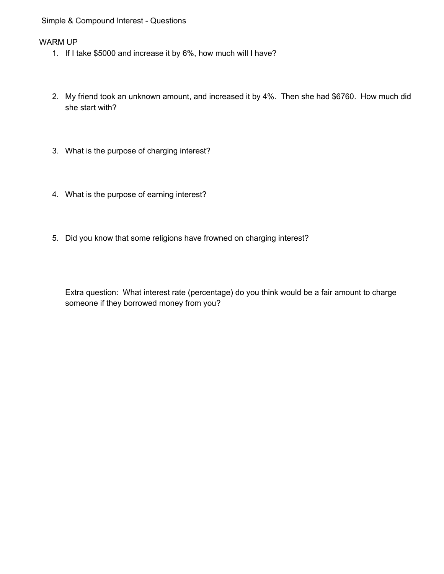#### Simple & Compound Interest - Questions

#### WARM UP

- 1. If I take \$5000 and increase it by 6%, how much will I have?
- 2. My friend took an unknown amount, and increased it by 4%. Then she had \$6760. How much did she start with?
- 3. What is the purpose of charging interest?
- 4. What is the purpose of earning interest?
- 5. Did you know that some religions have frowned on charging interest?

Extra question: What interest rate (percentage) do you think would be a fair amount to charge someone if they borrowed money from you?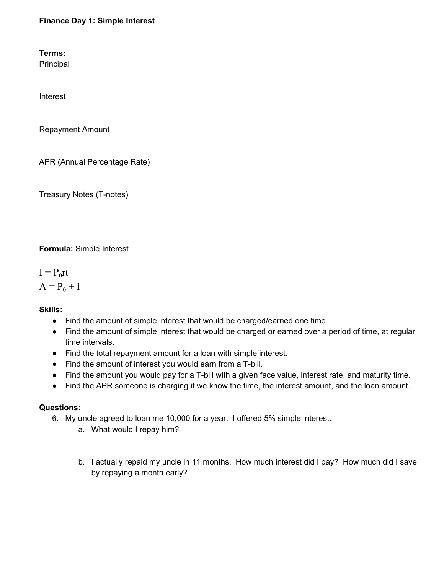# **Finance Day 1: Simple Interest**

**Terms:**

Principal

Interest

Repayment Amount

APR (Annual Percentage Rate)

Treasury Notes (T-notes)

**Formula:** Simple Interest

 $I = P_0rt$  $A = P_0 + I$ 

**Skills:**

- Find the amount of simple interest that would be charged/earned one time.
- Find the amount of simple interest that would be charged or earned over a period of time, at regular time intervals.
- Find the total repayment amount for a loan with simple interest.
- Find the amount of interest you would earn from a T-bill.
- Find the amount you would pay for a T-bill with a given face value, interest rate, and maturity time.
- Find the APR someone is charging if we know the time, the interest amount, and the loan amount.

## **Questions:**

- 6. My uncle agreed to loan me 10,000 for a year. I offered 5% simple interest.
	- a. What would I repay him?
	- b. I actually repaid my uncle in 11 months. How much interest did I pay? How much did I save by repaying a month early?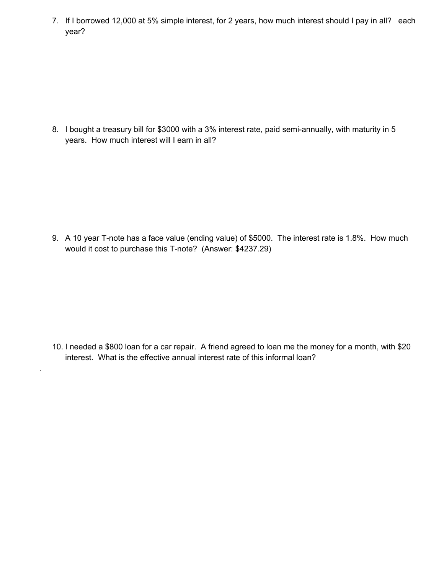7. If I borrowed 12,000 at 5% simple interest, for 2 years, how much interest should I pay in all? each year?

8. I bought a treasury bill for \$3000 with a 3% interest rate, paid semi-annually, with maturity in 5 years. How much interest will I earn in all?

9. A 10 year T-note has a face value (ending value) of \$5000. The interest rate is 1.8%. How much would it cost to purchase this T-note? (Answer: \$4237.29)

10. I needed a \$800 loan for a car repair. A friend agreed to loan me the money for a month, with \$20 interest. What is the effective annual interest rate of this informal loan?

.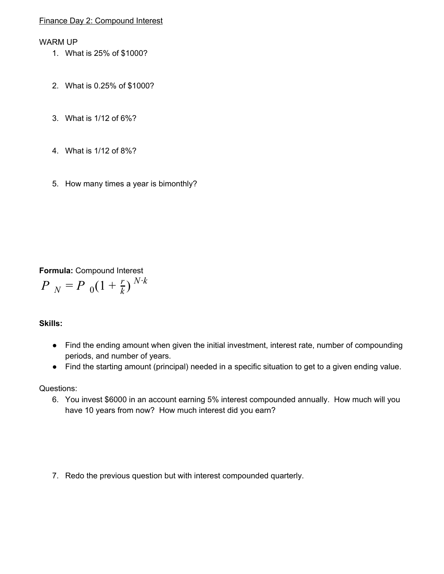## Finance Day 2: Compound Interest

#### WARM UP

- 1. What is 25% of \$1000?
- 2. What is 0.25% of \$1000?
- 3. What is 1/12 of 6%?
- 4. What is 1/12 of 8%?
- 5. How many times a year is bimonthly?

# **Formula:** Compound Interest

$$
P_{N} = P_{0}(1 + \frac{r}{k})^{N \cdot k}
$$

## **Skills:**

- Find the ending amount when given the initial investment, interest rate, number of compounding periods, and number of years.
- Find the starting amount (principal) needed in a specific situation to get to a given ending value.

Questions:

- 6. You invest \$6000 in an account earning 5% interest compounded annually. How much will you have 10 years from now? How much interest did you earn?
- 7. Redo the previous question but with interest compounded quarterly.